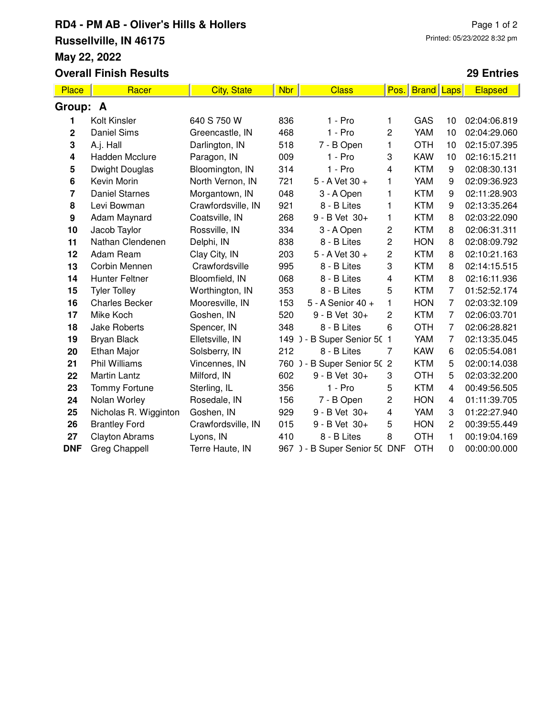## **RD4 - PM AB - Oliver's Hills & Hollers Russellville, IN 46175 May 22, 2022 Overall Finish Results**

## **29 Entries**

| <b>Place</b>     | Racer                 | <b>City, State</b> | <b>Nbr</b> | <b>Class</b>                  | Pos.                    | <b>Brand</b> Laps |                | Elapsed      |
|------------------|-----------------------|--------------------|------------|-------------------------------|-------------------------|-------------------|----------------|--------------|
| Group: A         |                       |                    |            |                               |                         |                   |                |              |
| 1                | Kolt Kinsler          | 640 S 750 W        | 836        | $1 - Pro$                     | 1                       | GAS               | 10             | 02:04:06.819 |
| $\mathbf 2$      | <b>Daniel Sims</b>    | Greencastle, IN    | 468        | $1 - Pro$                     | 2                       | YAM               | 10             | 02:04:29.060 |
| 3                | A.j. Hall             | Darlington, IN     | 518        | 7 - B Open                    | 1                       | <b>OTH</b>        | 10             | 02:15:07.395 |
| 4                | <b>Hadden Mcclure</b> | Paragon, IN        | 009        | $1 - Pro$                     | 3                       | <b>KAW</b>        | 10             | 02:16:15.211 |
| 5                | Dwight Douglas        | Bloomington, IN    | 314        | $1 - Pro$                     | $\overline{\mathbf{4}}$ | <b>KTM</b>        | 9              | 02:08:30.131 |
| 6                | Kevin Morin           | North Vernon, IN   | 721        | 5 - A Vet 30 +                | 1                       | YAM               | 9              | 02:09:36.923 |
| 7                | <b>Daniel Starnes</b> | Morgantown, IN     | 048        | 3 - A Open                    | 1                       | <b>KTM</b>        | 9              | 02:11:28.903 |
| 8                | Levi Bowman           | Crawfordsville, IN | 921        | 8 - B Lites                   | 1                       | <b>KTM</b>        | 9              | 02:13:35.264 |
| $\boldsymbol{9}$ | Adam Maynard          | Coatsville, IN     | 268        | $9 - B$ Vet $30+$             | 1                       | <b>KTM</b>        | 8              | 02:03:22.090 |
| 10               | Jacob Taylor          | Rossville, IN      | 334        | 3 - A Open                    | 2                       | <b>KTM</b>        | 8              | 02:06:31.311 |
| 11               | Nathan Clendenen      | Delphi, IN         | 838        | 8 - B Lites                   | 2                       | <b>HON</b>        | 8              | 02:08:09.792 |
| 12               | Adam Ream             | Clay City, IN      | 203        | 5 - A Vet 30 +                | 2                       | <b>KTM</b>        | 8              | 02:10:21.163 |
| 13               | Corbin Mennen         | Crawfordsville     | 995        | 8 - B Lites                   | 3                       | <b>KTM</b>        | 8              | 02:14:15.515 |
| 14               | <b>Hunter Feltner</b> | Bloomfield, IN     | 068        | 8 - B Lites                   | 4                       | <b>KTM</b>        | 8              | 02:16:11.936 |
| 15               | <b>Tyler Tolley</b>   | Worthington, IN    | 353        | 8 - B Lites                   | 5                       | <b>KTM</b>        | $\overline{7}$ | 01:52:52.174 |
| 16               | <b>Charles Becker</b> | Mooresville, IN    | 153        | 5 - A Senior 40 +             | 1                       | <b>HON</b>        | $\overline{7}$ | 02:03:32.109 |
| 17               | Mike Koch             | Goshen, IN         | 520        | 9 - B Vet 30+                 | 2                       | <b>KTM</b>        | $\overline{7}$ | 02:06:03.701 |
| 18               | <b>Jake Roberts</b>   | Spencer, IN        | 348        | 8 - B Lites                   | 6                       | <b>OTH</b>        | $\overline{7}$ | 02:06:28.821 |
| 19               | Bryan Black           | Elletsville, IN    |            | 149 ) - B Super Senior 50 1   |                         | YAM               | 7              | 02:13:35.045 |
| 20               | <b>Ethan Major</b>    | Solsberry, IN      | 212        | 8 - B Lites                   | 7                       | <b>KAW</b>        | 6              | 02:05:54.081 |
| 21               | <b>Phil Williams</b>  | Vincennes, IN      |            | 760 ) - B Super Senior 50     | $\mathbf{2}$            | <b>KTM</b>        | 5              | 02:00:14.038 |
| 22               | <b>Martin Lantz</b>   | Milford, IN        | 602        | 9 - B Vet 30+                 | 3                       | <b>OTH</b>        | 5              | 02:03:32.200 |
| 23               | <b>Tommy Fortune</b>  | Sterling, IL       | 356        | $1 - Pro$                     | 5                       | <b>KTM</b>        | 4              | 00:49:56.505 |
| 24               | Nolan Worley          | Rosedale, IN       | 156        | 7 - B Open                    | 2                       | <b>HON</b>        | 4              | 01:11:39.705 |
| 25               | Nicholas R. Wigginton | Goshen, IN         | 929        | 9 - B Vet 30+                 | $\overline{\mathbf{4}}$ | YAM               | 3              | 01:22:27.940 |
| 26               | <b>Brantley Ford</b>  | Crawfordsville, IN | 015        | 9 - B Vet 30+                 | 5                       | <b>HON</b>        | $\overline{c}$ | 00:39:55.449 |
| 27               | <b>Clayton Abrams</b> | Lyons, IN          | 410        | 8 - B Lites                   | 8                       | <b>OTH</b>        | 1              | 00:19:04.169 |
| <b>DNF</b>       | <b>Greg Chappell</b>  | Terre Haute, IN    |            | 967 ) - B Super Senior 50 DNF |                         | <b>OTH</b>        | 0              | 00:00:00.000 |